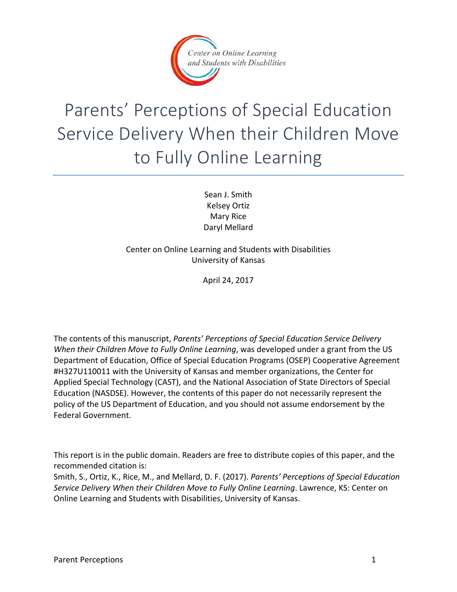

# Parents' Perceptions of Special Education Service Delivery When their Children Move to Fully Online Learning

Sean J. Smith Kelsey Ortiz Mary Rice Daryl Mellard

Center on Online Learning and Students with Disabilities University of Kansas

April 24, 2017

The contents of this manuscript, *Parents' Perceptions of Special Education Service Delivery When their Children Move to Fully Online Learning*, was developed under a grant from the US Department of Education, Office of Special Education Programs (OSEP) Cooperative Agreement #H327U110011 with the University of Kansas and member organizations, the Center for Applied Special Technology (CAST), and the National Association of State Directors of Special Education (NASDSE). However, the contents of this paper do not necessarily represent the policy of the US Department of Education, and you should not assume endorsement by the Federal Government.

This report is in the public domain. Readers are free to distribute copies of this paper, and the recommended citation is:

Smith, S., Ortiz, K., Rice, M., and Mellard, D. F. (2017). *Parents' Perceptions of Special Education Service Delivery When their Children Move to Fully Online Learning*. Lawrence, KS: Center on Online Learning and Students with Disabilities, University of Kansas.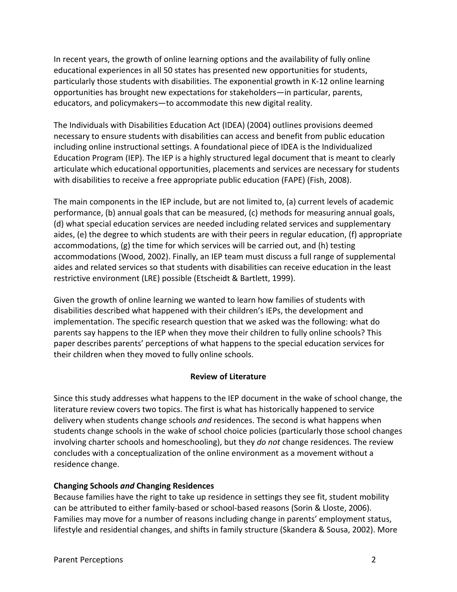In recent years, the growth of online learning options and the availability of fully online educational experiences in all 50 states has presented new opportunities for students, particularly those students with disabilities. The exponential growth in K-12 online learning opportunities has brought new expectations for stakeholders—in particular, parents, educators, and policymakers—to accommodate this new digital reality.

The Individuals with Disabilities Education Act (IDEA) (2004) outlines provisions deemed necessary to ensure students with disabilities can access and benefit from public education including online instructional settings. A foundational piece of IDEA is the Individualized Education Program (IEP). The IEP is a highly structured legal document that is meant to clearly articulate which educational opportunities, placements and services are necessary for students with disabilities to receive a free appropriate public education (FAPE) (Fish, 2008).

The main components in the IEP include, but are not limited to, (a) current levels of academic performance, (b) annual goals that can be measured, (c) methods for measuring annual goals, (d) what special education services are needed including related services and supplementary aides, (e) the degree to which students are with their peers in regular education, (f) appropriate accommodations, (g) the time for which services will be carried out, and (h) testing accommodations (Wood, 2002). Finally, an IEP team must discuss a full range of supplemental aides and related services so that students with disabilities can receive education in the least restrictive environment (LRE) possible (Etscheidt & Bartlett, 1999).

Given the growth of online learning we wanted to learn how families of students with disabilities described what happened with their children's IEPs, the development and implementation. The specific research question that we asked was the following: what do parents say happens to the IEP when they move their children to fully online schools? This paper describes parents' perceptions of what happens to the special education services for their children when they moved to fully online schools.

# **Review of Literature**

Since this study addresses what happens to the IEP document in the wake of school change, the literature review covers two topics. The first is what has historically happened to service delivery when students change schools *and* residences. The second is what happens when students change schools in the wake of school choice policies (particularly those school changes involving charter schools and homeschooling), but they *do not* change residences. The review concludes with a conceptualization of the online environment as a movement without a residence change.

# **Changing Schools** *and* **Changing Residences**

Because families have the right to take up residence in settings they see fit, student mobility can be attributed to either family-based or school-based reasons (Sorin & Lloste, 2006). Families may move for a number of reasons including change in parents' employment status, lifestyle and residential changes, and shifts in family structure (Skandera & Sousa, 2002). More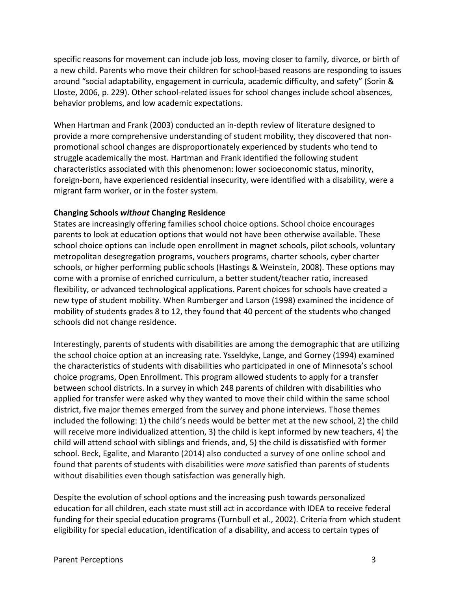specific reasons for movement can include job loss, moving closer to family, divorce, or birth of a new child. Parents who move their children for school-based reasons are responding to issues around "social adaptability, engagement in curricula, academic difficulty, and safety" (Sorin & Lloste, 2006, p. 229). Other school-related issues for school changes include school absences, behavior problems, and low academic expectations.

When Hartman and Frank (2003) conducted an in-depth review of literature designed to provide a more comprehensive understanding of student mobility, they discovered that nonpromotional school changes are disproportionately experienced by students who tend to struggle academically the most. Hartman and Frank identified the following student characteristics associated with this phenomenon: lower socioeconomic status, minority, foreign-born, have experienced residential insecurity, were identified with a disability, were a migrant farm worker, or in the foster system.

# **Changing Schools** *without* **Changing Residence**

States are increasingly offering families school choice options. School choice encourages parents to look at education options that would not have been otherwise available. These school choice options can include open enrollment in magnet schools, pilot schools, voluntary metropolitan desegregation programs, vouchers programs, charter schools, cyber charter schools, or higher performing public schools (Hastings & Weinstein, 2008). These options may come with a promise of enriched curriculum, a better student/teacher ratio, increased flexibility, or advanced technological applications. Parent choices for schools have created a new type of student mobility. When Rumberger and Larson (1998) examined the incidence of mobility of students grades 8 to 12, they found that 40 percent of the students who changed schools did not change residence.

Interestingly, parents of students with disabilities are among the demographic that are utilizing the school choice option at an increasing rate. Ysseldyke, Lange, and Gorney (1994) examined the characteristics of students with disabilities who participated in one of Minnesota's school choice programs, Open Enrollment. This program allowed students to apply for a transfer between school districts. In a survey in which 248 parents of children with disabilities who applied for transfer were asked why they wanted to move their child within the same school district, five major themes emerged from the survey and phone interviews. Those themes included the following: 1) the child's needs would be better met at the new school, 2) the child will receive more individualized attention, 3) the child is kept informed by new teachers, 4) the child will attend school with siblings and friends, and, 5) the child is dissatisfied with former school. Beck, Egalite, and Maranto (2014) also conducted a survey of one online school and found that parents of students with disabilities were *more* satisfied than parents of students without disabilities even though satisfaction was generally high.

Despite the evolution of school options and the increasing push towards personalized education for all children, each state must still act in accordance with IDEA to receive federal funding for their special education programs (Turnbull et al., 2002). Criteria from which student eligibility for special education, identification of a disability, and access to certain types of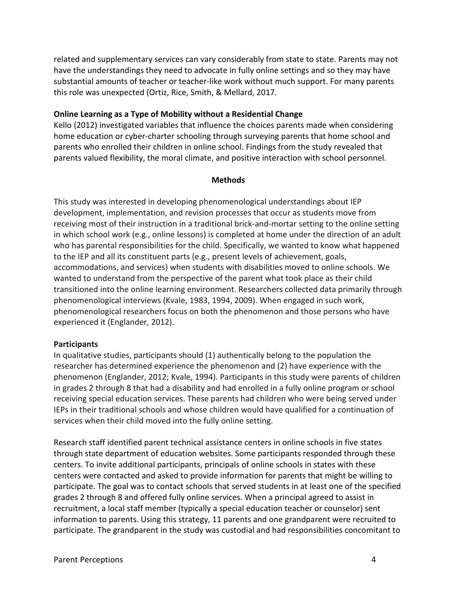related and supplementary services can vary considerably from state to state. Parents may not have the understandings they need to advocate in fully online settings and so they may have substantial amounts of teacher or teacher-like work without much support. For many parents this role was unexpected (Ortiz, Rice, Smith, & Mellard, 2017.

### **Online Learning as a Type of Mobility without a Residential Change**

Kello (2012) investigated variables that influence the choices parents made when considering home education or cyber-charter schooling through surveying parents that home school and parents who enrolled their children in online school. Findings from the study revealed that parents valued flexibility, the moral climate, and positive interaction with school personnel.

#### **Methods**

This study was interested in developing phenomenological understandings about IEP development, implementation, and revision processes that occur as students move from receiving most of their instruction in a traditional brick-and-mortar setting to the online setting in which school work (e.g., online lessons) is completed at home under the direction of an adult who has parental responsibilities for the child. Specifically, we wanted to know what happened to the IEP and all its constituent parts (e.g., present levels of achievement, goals, accommodations, and services) when students with disabilities moved to online schools. We wanted to understand from the perspective of the parent what took place as their child transitioned into the online learning environment. Researchers collected data primarily through phenomenological interviews (Kvale, 1983, 1994, 2009). When engaged in such work, phenomenological researchers focus on both the phenomenon and those persons who have experienced it (Englander, 2012).

#### **Participants**

In qualitative studies, participants should (1) authentically belong to the population the researcher has determined experience the phenomenon and (2) have experience with the phenomenon (Englander, 2012; Kvale, 1994). Participants in this study were parents of children in grades 2 through 8 that had a disability and had enrolled in a fully online program or school receiving special education services. These parents had children who were being served under IEPs in their traditional schools and whose children would have qualified for a continuation of services when their child moved into the fully online setting.

Research staff identified parent technical assistance centers in online schools in five states through state department of education websites. Some participants responded through these centers. To invite additional participants, principals of online schools in states with these centers were contacted and asked to provide information for parents that might be willing to participate. The goal was to contact schools that served students in at least one of the specified grades 2 through 8 and offered fully online services. When a principal agreed to assist in recruitment, a local staff member (typically a special education teacher or counselor) sent information to parents. Using this strategy, 11 parents and one grandparent were recruited to participate. The grandparent in the study was custodial and had responsibilities concomitant to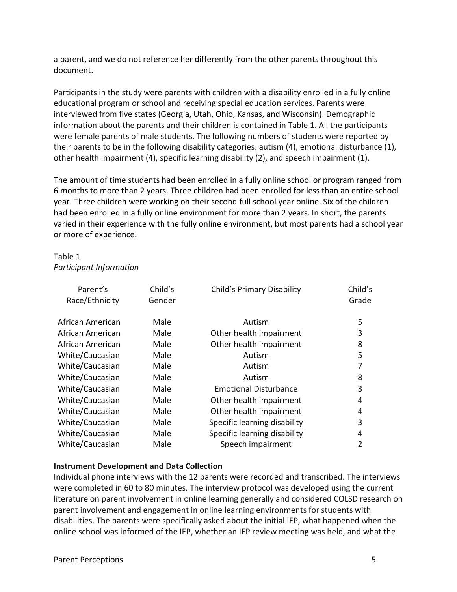a parent, and we do not reference her differently from the other parents throughout this document.

Participants in the study were parents with children with a disability enrolled in a fully online educational program or school and receiving special education services. Parents were interviewed from five states (Georgia, Utah, Ohio, Kansas, and Wisconsin). Demographic information about the parents and their children is contained in Table 1. All the participants were female parents of male students. The following numbers of students were reported by their parents to be in the following disability categories: autism (4), emotional disturbance (1), other health impairment (4), specific learning disability (2), and speech impairment (1).

The amount of time students had been enrolled in a fully online school or program ranged from 6 months to more than 2 years. Three children had been enrolled for less than an entire school year. Three children were working on their second full school year online. Six of the children had been enrolled in a fully online environment for more than 2 years. In short, the parents varied in their experience with the fully online environment, but most parents had a school year or more of experience.

# Table 1 *Participant Information*

| Parent's<br>Race/Ethnicity | Child's<br>Gender | <b>Child's Primary Disability</b> | Child's<br>Grade |
|----------------------------|-------------------|-----------------------------------|------------------|
| African American           | Male              | Autism                            | 5                |
| African American           | Male              | Other health impairment           | 3                |
| African American           | Male              | Other health impairment           | 8                |
| White/Caucasian            | Male              | Autism                            | 5                |
| White/Caucasian            | Male              | Autism                            |                  |
| White/Caucasian            | Male              | Autism                            | 8                |
| White/Caucasian            | Male              | <b>Emotional Disturbance</b>      | 3                |
| White/Caucasian            | Male              | Other health impairment           | 4                |
| White/Caucasian            | Male              | Other health impairment           | 4                |
| White/Caucasian            | Male              | Specific learning disability      | 3                |
| White/Caucasian            | Male              | Specific learning disability      | 4                |
| White/Caucasian            | Male              | Speech impairment                 | $\overline{2}$   |

# **Instrument Development and Data Collection**

Individual phone interviews with the 12 parents were recorded and transcribed. The interviews were completed in 60 to 80 minutes. The interview protocol was developed using the current literature on parent involvement in online learning generally and considered COLSD research on parent involvement and engagement in online learning environments for students with disabilities. The parents were specifically asked about the initial IEP, what happened when the online school was informed of the IEP, whether an IEP review meeting was held, and what the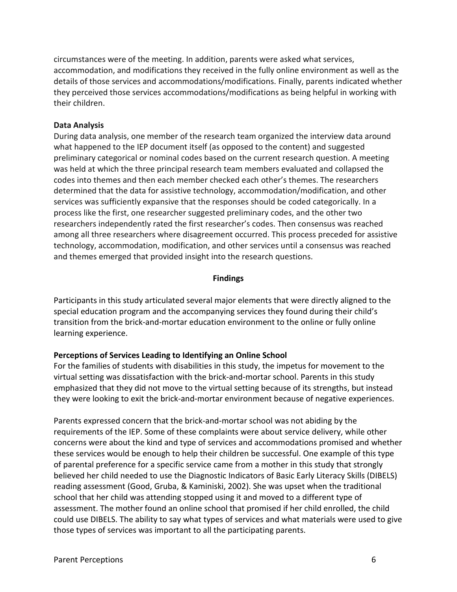circumstances were of the meeting. In addition, parents were asked what services, accommodation, and modifications they received in the fully online environment as well as the details of those services and accommodations/modifications. Finally, parents indicated whether they perceived those services accommodations/modifications as being helpful in working with their children.

# **Data Analysis**

During data analysis, one member of the research team organized the interview data around what happened to the IEP document itself (as opposed to the content) and suggested preliminary categorical or nominal codes based on the current research question. A meeting was held at which the three principal research team members evaluated and collapsed the codes into themes and then each member checked each other's themes. The researchers determined that the data for assistive technology, accommodation/modification, and other services was sufficiently expansive that the responses should be coded categorically. In a process like the first, one researcher suggested preliminary codes, and the other two researchers independently rated the first researcher's codes. Then consensus was reached among all three researchers where disagreement occurred. This process preceded for assistive technology, accommodation, modification, and other services until a consensus was reached and themes emerged that provided insight into the research questions.

# **Findings**

Participants in this study articulated several major elements that were directly aligned to the special education program and the accompanying services they found during their child's transition from the brick-and-mortar education environment to the online or fully online learning experience.

# **Perceptions of Services Leading to Identifying an Online School**

For the families of students with disabilities in this study, the impetus for movement to the virtual setting was dissatisfaction with the brick-and-mortar school. Parents in this study emphasized that they did not move to the virtual setting because of its strengths, but instead they were looking to exit the brick-and-mortar environment because of negative experiences.

Parents expressed concern that the brick-and-mortar school was not abiding by the requirements of the IEP. Some of these complaints were about service delivery, while other concerns were about the kind and type of services and accommodations promised and whether these services would be enough to help their children be successful. One example of this type of parental preference for a specific service came from a mother in this study that strongly believed her child needed to use the Diagnostic Indicators of Basic Early Literacy Skills (DIBELS) reading assessment (Good, Gruba, & Kaminiski, 2002). She was upset when the traditional school that her child was attending stopped using it and moved to a different type of assessment. The mother found an online school that promised if her child enrolled, the child could use DIBELS. The ability to say what types of services and what materials were used to give those types of services was important to all the participating parents.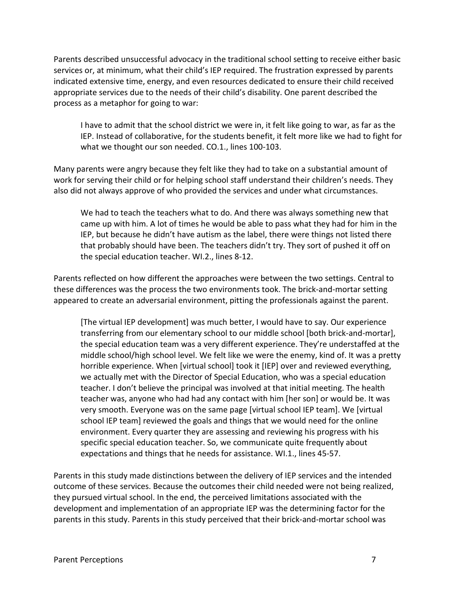Parents described unsuccessful advocacy in the traditional school setting to receive either basic services or, at minimum, what their child's IEP required. The frustration expressed by parents indicated extensive time, energy, and even resources dedicated to ensure their child received appropriate services due to the needs of their child's disability. One parent described the process as a metaphor for going to war:

I have to admit that the school district we were in, it felt like going to war, as far as the IEP. Instead of collaborative, for the students benefit, it felt more like we had to fight for what we thought our son needed. CO.1., lines 100-103.

Many parents were angry because they felt like they had to take on a substantial amount of work for serving their child or for helping school staff understand their children's needs. They also did not always approve of who provided the services and under what circumstances.

We had to teach the teachers what to do. And there was always something new that came up with him. A lot of times he would be able to pass what they had for him in the IEP, but because he didn't have autism as the label, there were things not listed there that probably should have been. The teachers didn't try. They sort of pushed it off on the special education teacher. WI.2., lines 8-12.

Parents reflected on how different the approaches were between the two settings. Central to these differences was the process the two environments took. The brick-and-mortar setting appeared to create an adversarial environment, pitting the professionals against the parent.

[The virtual IEP development] was much better, I would have to say. Our experience transferring from our elementary school to our middle school [both brick-and-mortar], the special education team was a very different experience. They're understaffed at the middle school/high school level. We felt like we were the enemy, kind of. It was a pretty horrible experience. When [virtual school] took it [IEP] over and reviewed everything, we actually met with the Director of Special Education, who was a special education teacher. I don't believe the principal was involved at that initial meeting. The health teacher was, anyone who had had any contact with him [her son] or would be. It was very smooth. Everyone was on the same page [virtual school IEP team]. We [virtual school IEP team] reviewed the goals and things that we would need for the online environment. Every quarter they are assessing and reviewing his progress with his specific special education teacher. So, we communicate quite frequently about expectations and things that he needs for assistance. WI.1., lines 45-57.

Parents in this study made distinctions between the delivery of IEP services and the intended outcome of these services. Because the outcomes their child needed were not being realized, they pursued virtual school. In the end, the perceived limitations associated with the development and implementation of an appropriate IEP was the determining factor for the parents in this study. Parents in this study perceived that their brick-and-mortar school was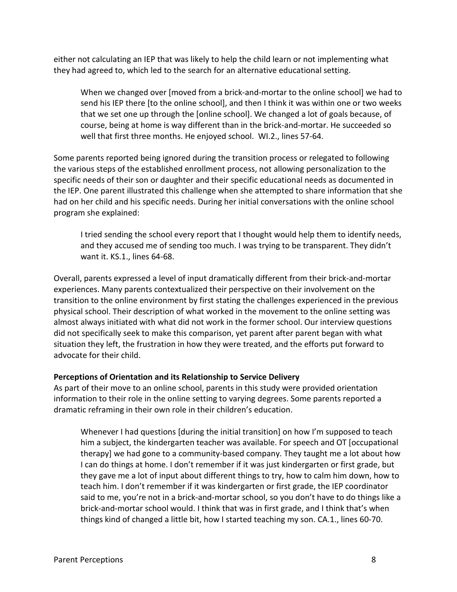either not calculating an IEP that was likely to help the child learn or not implementing what they had agreed to, which led to the search for an alternative educational setting.

When we changed over [moved from a brick-and-mortar to the online school] we had to send his IEP there [to the online school], and then I think it was within one or two weeks that we set one up through the [online school]. We changed a lot of goals because, of course, being at home is way different than in the brick-and-mortar. He succeeded so well that first three months. He enjoyed school. WI.2., lines 57-64.

Some parents reported being ignored during the transition process or relegated to following the various steps of the established enrollment process, not allowing personalization to the specific needs of their son or daughter and their specific educational needs as documented in the IEP. One parent illustrated this challenge when she attempted to share information that she had on her child and his specific needs. During her initial conversations with the online school program she explained:

I tried sending the school every report that I thought would help them to identify needs, and they accused me of sending too much. I was trying to be transparent. They didn't want it. KS.1., lines 64-68.

Overall, parents expressed a level of input dramatically different from their brick-and-mortar experiences. Many parents contextualized their perspective on their involvement on the transition to the online environment by first stating the challenges experienced in the previous physical school. Their description of what worked in the movement to the online setting was almost always initiated with what did not work in the former school. Our interview questions did not specifically seek to make this comparison, yet parent after parent began with what situation they left, the frustration in how they were treated, and the efforts put forward to advocate for their child.

# **Perceptions of Orientation and its Relationship to Service Delivery**

As part of their move to an online school, parents in this study were provided orientation information to their role in the online setting to varying degrees. Some parents reported a dramatic reframing in their own role in their children's education.

Whenever I had questions [during the initial transition] on how I'm supposed to teach him a subject, the kindergarten teacher was available. For speech and OT [occupational therapy] we had gone to a community-based company. They taught me a lot about how I can do things at home. I don't remember if it was just kindergarten or first grade, but they gave me a lot of input about different things to try, how to calm him down, how to teach him. I don't remember if it was kindergarten or first grade, the IEP coordinator said to me, you're not in a brick-and-mortar school, so you don't have to do things like a brick-and-mortar school would. I think that was in first grade, and I think that's when things kind of changed a little bit, how I started teaching my son. CA.1., lines 60-70.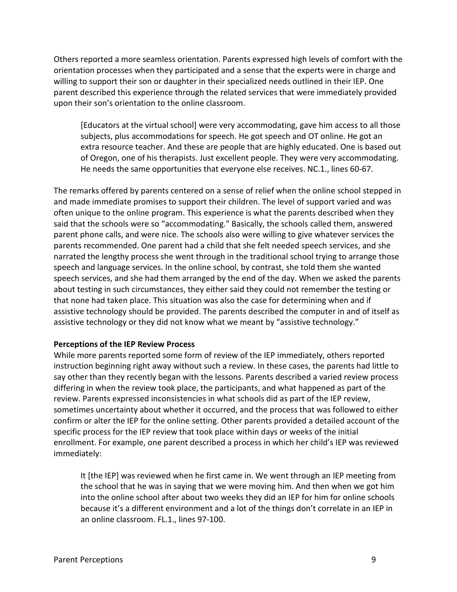Others reported a more seamless orientation. Parents expressed high levels of comfort with the orientation processes when they participated and a sense that the experts were in charge and willing to support their son or daughter in their specialized needs outlined in their IEP. One parent described this experience through the related services that were immediately provided upon their son's orientation to the online classroom.

[Educators at the virtual school] were very accommodating, gave him access to all those subjects, plus accommodations for speech. He got speech and OT online. He got an extra resource teacher. And these are people that are highly educated. One is based out of Oregon, one of his therapists. Just excellent people. They were very accommodating. He needs the same opportunities that everyone else receives. NC.1., lines 60-67.

The remarks offered by parents centered on a sense of relief when the online school stepped in and made immediate promises to support their children. The level of support varied and was often unique to the online program. This experience is what the parents described when they said that the schools were so "accommodating." Basically, the schools called them, answered parent phone calls, and were nice. The schools also were willing to give whatever services the parents recommended. One parent had a child that she felt needed speech services, and she narrated the lengthy process she went through in the traditional school trying to arrange those speech and language services. In the online school, by contrast, she told them she wanted speech services, and she had them arranged by the end of the day. When we asked the parents about testing in such circumstances, they either said they could not remember the testing or that none had taken place. This situation was also the case for determining when and if assistive technology should be provided. The parents described the computer in and of itself as assistive technology or they did not know what we meant by "assistive technology."

# **Perceptions of the IEP Review Process**

While more parents reported some form of review of the IEP immediately, others reported instruction beginning right away without such a review. In these cases, the parents had little to say other than they recently began with the lessons. Parents described a varied review process differing in when the review took place, the participants, and what happened as part of the review. Parents expressed inconsistencies in what schools did as part of the IEP review, sometimes uncertainty about whether it occurred, and the process that was followed to either confirm or alter the IEP for the online setting. Other parents provided a detailed account of the specific process for the IEP review that took place within days or weeks of the initial enrollment. For example, one parent described a process in which her child's IEP was reviewed immediately:

It [the IEP] was reviewed when he first came in. We went through an IEP meeting from the school that he was in saying that we were moving him. And then when we got him into the online school after about two weeks they did an IEP for him for online schools because it's a different environment and a lot of the things don't correlate in an IEP in an online classroom. FL.1., lines 97-100.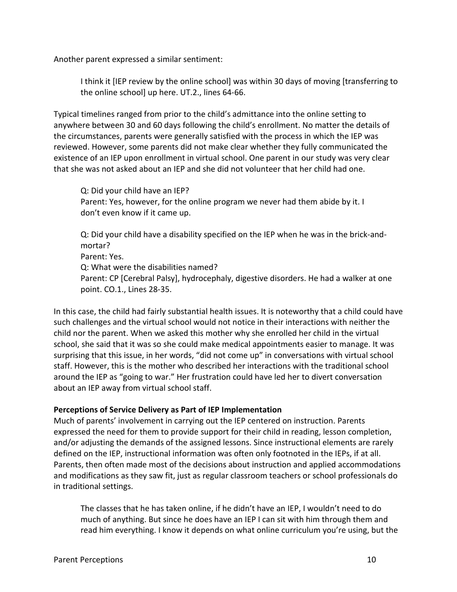Another parent expressed a similar sentiment:

I think it [IEP review by the online school] was within 30 days of moving [transferring to the online school] up here. UT.2., lines 64-66.

Typical timelines ranged from prior to the child's admittance into the online setting to anywhere between 30 and 60 days following the child's enrollment. No matter the details of the circumstances, parents were generally satisfied with the process in which the IEP was reviewed. However, some parents did not make clear whether they fully communicated the existence of an IEP upon enrollment in virtual school. One parent in our study was very clear that she was not asked about an IEP and she did not volunteer that her child had one.

Q: Did your child have an IEP? Parent: Yes, however, for the online program we never had them abide by it. I don't even know if it came up.

Q: Did your child have a disability specified on the IEP when he was in the brick-andmortar? Parent: Yes. Q: What were the disabilities named? Parent: CP [Cerebral Palsy], hydrocephaly, digestive disorders. He had a walker at one point. CO.1., Lines 28-35.

In this case, the child had fairly substantial health issues. It is noteworthy that a child could have such challenges and the virtual school would not notice in their interactions with neither the child nor the parent. When we asked this mother why she enrolled her child in the virtual school, she said that it was so she could make medical appointments easier to manage. It was surprising that this issue, in her words, "did not come up" in conversations with virtual school staff. However, this is the mother who described her interactions with the traditional school around the IEP as "going to war." Her frustration could have led her to divert conversation about an IEP away from virtual school staff.

# **Perceptions of Service Delivery as Part of IEP Implementation**

Much of parents' involvement in carrying out the IEP centered on instruction. Parents expressed the need for them to provide support for their child in reading, lesson completion, and/or adjusting the demands of the assigned lessons. Since instructional elements are rarely defined on the IEP, instructional information was often only footnoted in the IEPs, if at all. Parents, then often made most of the decisions about instruction and applied accommodations and modifications as they saw fit, just as regular classroom teachers or school professionals do in traditional settings.

The classes that he has taken online, if he didn't have an IEP, I wouldn't need to do much of anything. But since he does have an IEP I can sit with him through them and read him everything. I know it depends on what online curriculum you're using, but the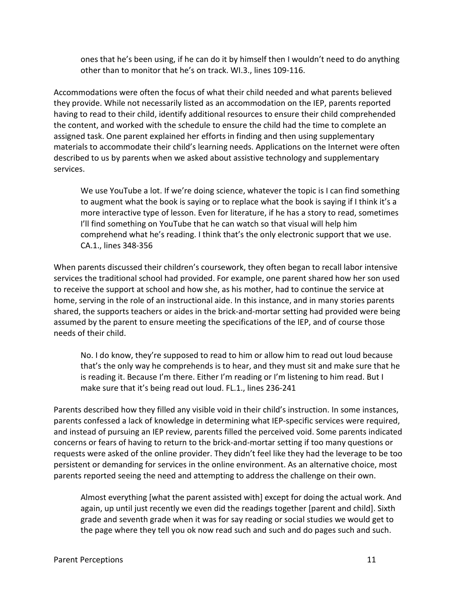ones that he's been using, if he can do it by himself then I wouldn't need to do anything other than to monitor that he's on track. WI.3., lines 109-116.

Accommodations were often the focus of what their child needed and what parents believed they provide. While not necessarily listed as an accommodation on the IEP, parents reported having to read to their child, identify additional resources to ensure their child comprehended the content, and worked with the schedule to ensure the child had the time to complete an assigned task. One parent explained her efforts in finding and then using supplementary materials to accommodate their child's learning needs. Applications on the Internet were often described to us by parents when we asked about assistive technology and supplementary services.

We use YouTube a lot. If we're doing science, whatever the topic is I can find something to augment what the book is saying or to replace what the book is saying if I think it's a more interactive type of lesson. Even for literature, if he has a story to read, sometimes I'll find something on YouTube that he can watch so that visual will help him comprehend what he's reading. I think that's the only electronic support that we use. CA.1., lines 348-356

When parents discussed their children's coursework, they often began to recall labor intensive services the traditional school had provided. For example, one parent shared how her son used to receive the support at school and how she, as his mother, had to continue the service at home, serving in the role of an instructional aide. In this instance, and in many stories parents shared, the supports teachers or aides in the brick-and-mortar setting had provided were being assumed by the parent to ensure meeting the specifications of the IEP, and of course those needs of their child.

No. I do know, they're supposed to read to him or allow him to read out loud because that's the only way he comprehends is to hear, and they must sit and make sure that he is reading it. Because I'm there. Either I'm reading or I'm listening to him read. But I make sure that it's being read out loud. FL.1., lines 236-241

Parents described how they filled any visible void in their child's instruction. In some instances, parents confessed a lack of knowledge in determining what IEP-specific services were required, and instead of pursuing an IEP review, parents filled the perceived void. Some parents indicated concerns or fears of having to return to the brick-and-mortar setting if too many questions or requests were asked of the online provider. They didn't feel like they had the leverage to be too persistent or demanding for services in the online environment. As an alternative choice, most parents reported seeing the need and attempting to address the challenge on their own.

Almost everything [what the parent assisted with] except for doing the actual work. And again, up until just recently we even did the readings together [parent and child]. Sixth grade and seventh grade when it was for say reading or social studies we would get to the page where they tell you ok now read such and such and do pages such and such.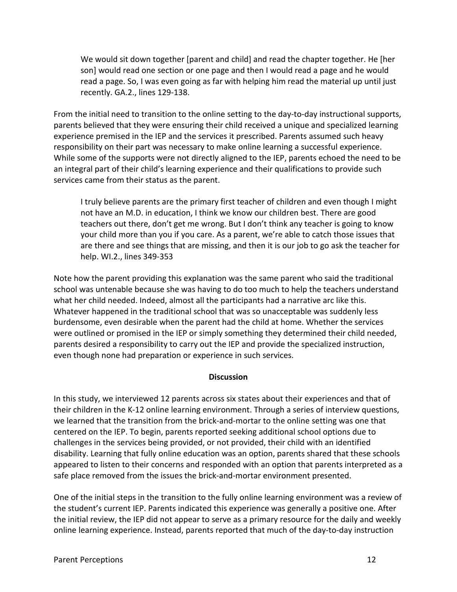We would sit down together [parent and child] and read the chapter together. He [her son] would read one section or one page and then I would read a page and he would read a page. So, I was even going as far with helping him read the material up until just recently. GA.2., lines 129-138.

From the initial need to transition to the online setting to the day-to-day instructional supports, parents believed that they were ensuring their child received a unique and specialized learning experience premised in the IEP and the services it prescribed. Parents assumed such heavy responsibility on their part was necessary to make online learning a successful experience. While some of the supports were not directly aligned to the IEP, parents echoed the need to be an integral part of their child's learning experience and their qualifications to provide such services came from their status as the parent.

I truly believe parents are the primary first teacher of children and even though I might not have an M.D. in education, I think we know our children best. There are good teachers out there, don't get me wrong. But I don't think any teacher is going to know your child more than you if you care. As a parent, we're able to catch those issues that are there and see things that are missing, and then it is our job to go ask the teacher for help. WI.2., lines 349-353

Note how the parent providing this explanation was the same parent who said the traditional school was untenable because she was having to do too much to help the teachers understand what her child needed. Indeed, almost all the participants had a narrative arc like this. Whatever happened in the traditional school that was so unacceptable was suddenly less burdensome, even desirable when the parent had the child at home. Whether the services were outlined or promised in the IEP or simply something they determined their child needed, parents desired a responsibility to carry out the IEP and provide the specialized instruction, even though none had preparation or experience in such services.

#### **Discussion**

In this study, we interviewed 12 parents across six states about their experiences and that of their children in the K-12 online learning environment. Through a series of interview questions, we learned that the transition from the brick-and-mortar to the online setting was one that centered on the IEP. To begin, parents reported seeking additional school options due to challenges in the services being provided, or not provided, their child with an identified disability. Learning that fully online education was an option, parents shared that these schools appeared to listen to their concerns and responded with an option that parents interpreted as a safe place removed from the issues the brick-and-mortar environment presented.

One of the initial steps in the transition to the fully online learning environment was a review of the student's current IEP. Parents indicated this experience was generally a positive one. After the initial review, the IEP did not appear to serve as a primary resource for the daily and weekly online learning experience. Instead, parents reported that much of the day-to-day instruction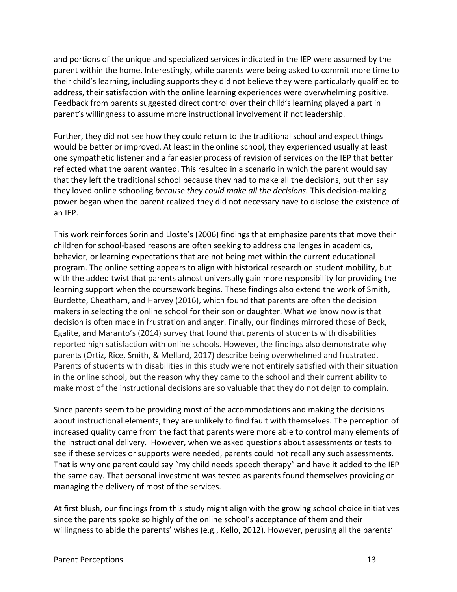and portions of the unique and specialized services indicated in the IEP were assumed by the parent within the home. Interestingly, while parents were being asked to commit more time to their child's learning, including supports they did not believe they were particularly qualified to address, their satisfaction with the online learning experiences were overwhelming positive. Feedback from parents suggested direct control over their child's learning played a part in parent's willingness to assume more instructional involvement if not leadership.

Further, they did not see how they could return to the traditional school and expect things would be better or improved. At least in the online school, they experienced usually at least one sympathetic listener and a far easier process of revision of services on the IEP that better reflected what the parent wanted. This resulted in a scenario in which the parent would say that they left the traditional school because they had to make all the decisions, but then say they loved online schooling *because they could make all the decisions.* This decision-making power began when the parent realized they did not necessary have to disclose the existence of an IEP.

This work reinforces Sorin and Lloste's (2006) findings that emphasize parents that move their children for school-based reasons are often seeking to address challenges in academics, behavior, or learning expectations that are not being met within the current educational program. The online setting appears to align with historical research on student mobility, but with the added twist that parents almost universally gain more responsibility for providing the learning support when the coursework begins. These findings also extend the work of Smith, Burdette, Cheatham, and Harvey (2016), which found that parents are often the decision makers in selecting the online school for their son or daughter. What we know now is that decision is often made in frustration and anger. Finally, our findings mirrored those of Beck, Egalite, and Maranto's (2014) survey that found that parents of students with disabilities reported high satisfaction with online schools. However, the findings also demonstrate why parents (Ortiz, Rice, Smith, & Mellard, 2017) describe being overwhelmed and frustrated. Parents of students with disabilities in this study were not entirely satisfied with their situation in the online school, but the reason why they came to the school and their current ability to make most of the instructional decisions are so valuable that they do not deign to complain.

Since parents seem to be providing most of the accommodations and making the decisions about instructional elements, they are unlikely to find fault with themselves. The perception of increased quality came from the fact that parents were more able to control many elements of the instructional delivery. However, when we asked questions about assessments or tests to see if these services or supports were needed, parents could not recall any such assessments. That is why one parent could say "my child needs speech therapy" and have it added to the IEP the same day. That personal investment was tested as parents found themselves providing or managing the delivery of most of the services.

At first blush, our findings from this study might align with the growing school choice initiatives since the parents spoke so highly of the online school's acceptance of them and their willingness to abide the parents' wishes (e.g., Kello, 2012). However, perusing all the parents'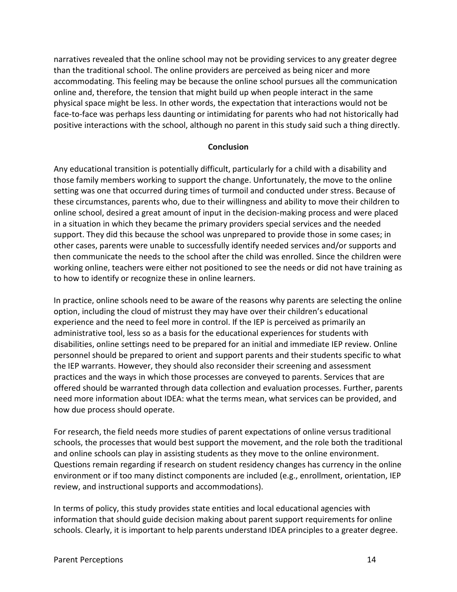narratives revealed that the online school may not be providing services to any greater degree than the traditional school. The online providers are perceived as being nicer and more accommodating. This feeling may be because the online school pursues all the communication online and, therefore, the tension that might build up when people interact in the same physical space might be less. In other words, the expectation that interactions would not be face-to-face was perhaps less daunting or intimidating for parents who had not historically had positive interactions with the school, although no parent in this study said such a thing directly.

## **Conclusion**

Any educational transition is potentially difficult, particularly for a child with a disability and those family members working to support the change. Unfortunately, the move to the online setting was one that occurred during times of turmoil and conducted under stress. Because of these circumstances, parents who, due to their willingness and ability to move their children to online school, desired a great amount of input in the decision-making process and were placed in a situation in which they became the primary providers special services and the needed support. They did this because the school was unprepared to provide those in some cases; in other cases, parents were unable to successfully identify needed services and/or supports and then communicate the needs to the school after the child was enrolled. Since the children were working online, teachers were either not positioned to see the needs or did not have training as to how to identify or recognize these in online learners.

In practice, online schools need to be aware of the reasons why parents are selecting the online option, including the cloud of mistrust they may have over their children's educational experience and the need to feel more in control. If the IEP is perceived as primarily an administrative tool, less so as a basis for the educational experiences for students with disabilities, online settings need to be prepared for an initial and immediate IEP review. Online personnel should be prepared to orient and support parents and their students specific to what the IEP warrants. However, they should also reconsider their screening and assessment practices and the ways in which those processes are conveyed to parents. Services that are offered should be warranted through data collection and evaluation processes. Further, parents need more information about IDEA: what the terms mean, what services can be provided, and how due process should operate.

For research, the field needs more studies of parent expectations of online versus traditional schools, the processes that would best support the movement, and the role both the traditional and online schools can play in assisting students as they move to the online environment. Questions remain regarding if research on student residency changes has currency in the online environment or if too many distinct components are included (e.g., enrollment, orientation, IEP review, and instructional supports and accommodations).

In terms of policy, this study provides state entities and local educational agencies with information that should guide decision making about parent support requirements for online schools. Clearly, it is important to help parents understand IDEA principles to a greater degree.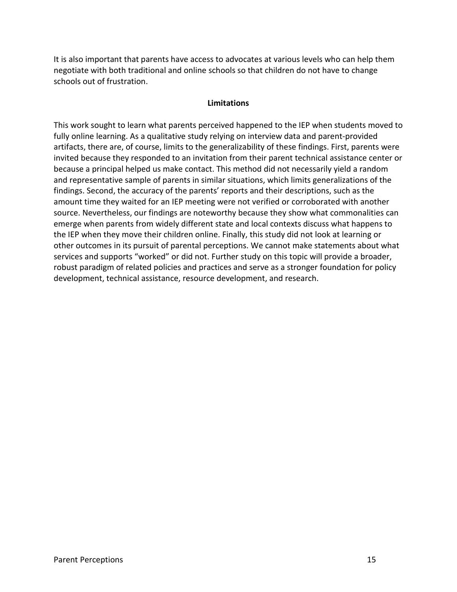It is also important that parents have access to advocates at various levels who can help them negotiate with both traditional and online schools so that children do not have to change schools out of frustration.

## **Limitations**

This work sought to learn what parents perceived happened to the IEP when students moved to fully online learning. As a qualitative study relying on interview data and parent-provided artifacts, there are, of course, limits to the generalizability of these findings. First, parents were invited because they responded to an invitation from their parent technical assistance center or because a principal helped us make contact. This method did not necessarily yield a random and representative sample of parents in similar situations, which limits generalizations of the findings. Second, the accuracy of the parents' reports and their descriptions, such as the amount time they waited for an IEP meeting were not verified or corroborated with another source. Nevertheless, our findings are noteworthy because they show what commonalities can emerge when parents from widely different state and local contexts discuss what happens to the IEP when they move their children online. Finally, this study did not look at learning or other outcomes in its pursuit of parental perceptions. We cannot make statements about what services and supports "worked" or did not. Further study on this topic will provide a broader, robust paradigm of related policies and practices and serve as a stronger foundation for policy development, technical assistance, resource development, and research.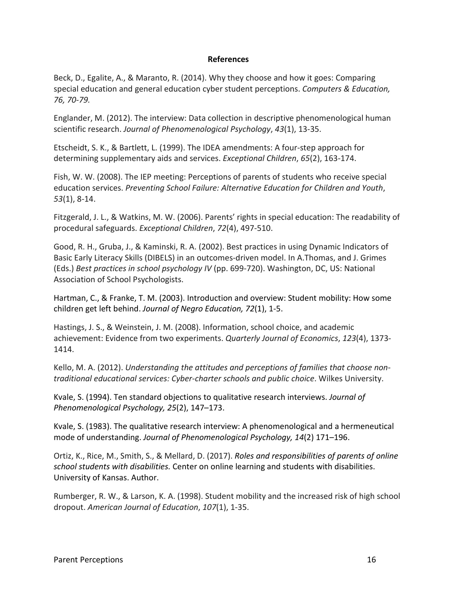### **References**

Beck, D., Egalite, A., & Maranto, R. (2014). Why they choose and how it goes: Comparing special education and general education cyber student perceptions. *Computers & Education, 76, 70-79.*

Englander, M. (2012). The interview: Data collection in descriptive phenomenological human scientific research. *Journal of Phenomenological Psychology*, *43*(1), 13-35.

Etscheidt, S. K., & Bartlett, L. (1999). The IDEA amendments: A four-step approach for determining supplementary aids and services. *Exceptional Children*, *65*(2), 163-174.

Fish, W. W. (2008). The IEP meeting: Perceptions of parents of students who receive special education services. *Preventing School Failure: Alternative Education for Children and Youth*, *53*(1), 8-14.

Fitzgerald, J. L., & Watkins, M. W. (2006). Parents' rights in special education: The readability of procedural safeguards. *Exceptional Children*, *72*(4), 497-510.

Good, R. H., Gruba, J., & Kaminski, R. A. (2002). Best practices in using Dynamic Indicators of Basic Early Literacy Skills (DIBELS) in an outcomes-driven model. In A.Thomas, and J. Grimes (Eds.) *Best practices in school psychology IV* (pp. 699-720). Washington, DC, US: National Association of School Psychologists.

Hartman, C., & Franke, T. M. (2003). Introduction and overview: Student mobility: How some children get left behind. *Journal of Negro Education, 72*(1), 1-5.

Hastings, J. S., & Weinstein, J. M. (2008). Information, school choice, and academic achievement: Evidence from two experiments. *Quarterly Journal of Economics*, *123*(4), 1373- 1414.

Kello, M. A. (2012). *Understanding the attitudes and perceptions of families that choose nontraditional educational services: Cyber-charter schools and public choice*. Wilkes University.

Kvale, S. (1994). Ten standard objections to qualitative research interviews. *Journal of Phenomenological Psychology, 25*(2), 147–173.

Kvale, S. (1983). The qualitative research interview: A phenomenological and a hermeneutical mode of understanding. *Journal of Phenomenological Psychology, 14*(2) 171–196.

Ortiz, K., Rice, M., Smith, S., & Mellard, D. (2017). *Roles and responsibilities of parents of online school students with disabilities.* Center on online learning and students with disabilities. University of Kansas. Author.

Rumberger, R. W., & Larson, K. A. (1998). Student mobility and the increased risk of high school dropout. *American Journal of Education*, *107*(1), 1-35.